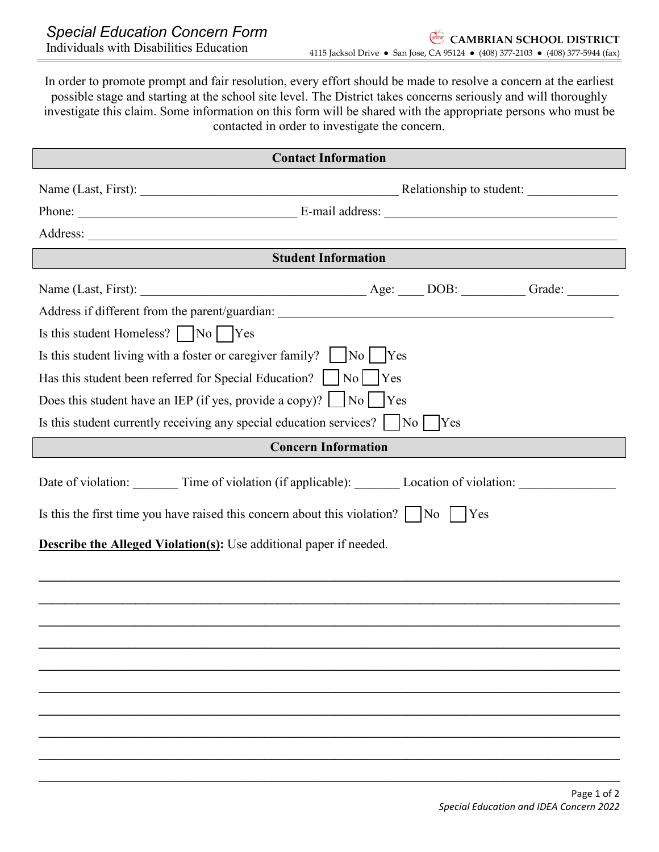In order to promote prompt and fair resolution, every effort should be made to resolve a concern at the earliest possible stage and starting at the school site level. The District takes concerns seriously and will thoroughly investigate this claim. Some information on this form will be shared with the appropriate persons who must be contacted in order to investigate the concern.

| <b>Contact Information</b>                                                                                                                                                                                                          |  |  |
|-------------------------------------------------------------------------------------------------------------------------------------------------------------------------------------------------------------------------------------|--|--|
|                                                                                                                                                                                                                                     |  |  |
| Phone: <u>New York: E-mail address:</u> New York: New York: New York: New York: New York: New York: New York: New York: New York: New York: New York: New York: New York: New York: New York: New York: New York: New York: New Yor |  |  |
|                                                                                                                                                                                                                                     |  |  |
| <b>Student Information</b>                                                                                                                                                                                                          |  |  |
|                                                                                                                                                                                                                                     |  |  |
|                                                                                                                                                                                                                                     |  |  |
| Is this student Homeless? $\Box$ No $\Box$ Yes                                                                                                                                                                                      |  |  |
| Is this student living with a foster or caregiver family? $\vert$ $\vert$ No $\vert$ Yes                                                                                                                                            |  |  |
| Has this student been referred for Special Education?       No       Yes                                                                                                                                                            |  |  |
| Does this student have an IEP (if yes, provide a copy)? $\Box$ No $\Box$ Yes                                                                                                                                                        |  |  |
| Is this student currently receiving any special education services?    No    Yes                                                                                                                                                    |  |  |
| <b>Concern Information</b>                                                                                                                                                                                                          |  |  |
| Date of violation: ________ Time of violation (if applicable): ________ Location of violation: _________                                                                                                                            |  |  |
| Is this the first time you have raised this concern about this violation? $\vert$ $\vert$ No $\vert$ $\vert$ Yes                                                                                                                    |  |  |
| <b>Describe the Alleged Violation(s):</b> Use additional paper if needed.                                                                                                                                                           |  |  |
|                                                                                                                                                                                                                                     |  |  |
|                                                                                                                                                                                                                                     |  |  |
|                                                                                                                                                                                                                                     |  |  |
|                                                                                                                                                                                                                                     |  |  |
|                                                                                                                                                                                                                                     |  |  |
|                                                                                                                                                                                                                                     |  |  |
|                                                                                                                                                                                                                                     |  |  |
|                                                                                                                                                                                                                                     |  |  |
|                                                                                                                                                                                                                                     |  |  |
|                                                                                                                                                                                                                                     |  |  |